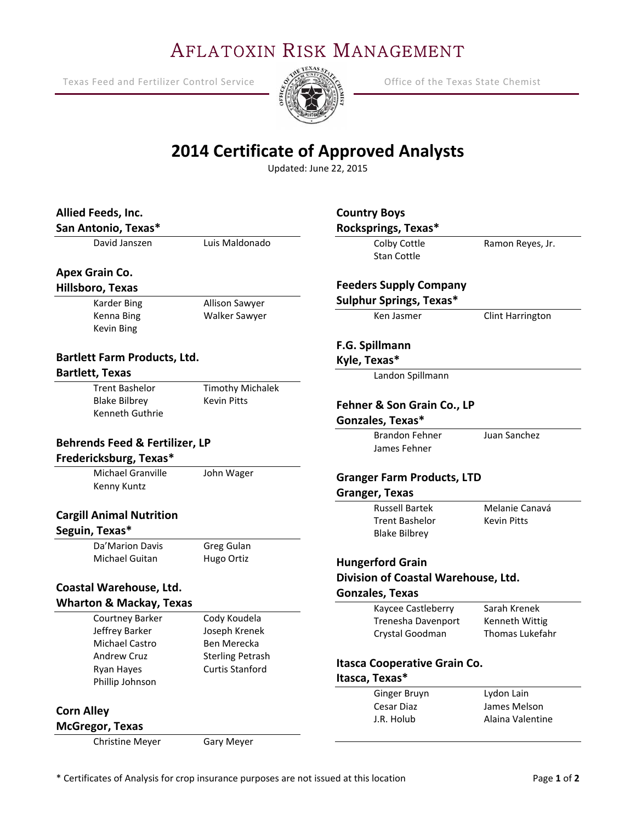# AFLATOXIN RISK MANAGEMENT

Texas Feed and Fertilizer Control Service  $\frac{1}{2}$   $\frac{1}{2}$  Office of the Texas State Chemist

Ξ



# **2014 Certificate of Approved Analysts**

Updated: June 22, 2015

| Allied Feeds, Inc.                         |                         | <b>Country Boys</b>                 |                    |
|--------------------------------------------|-------------------------|-------------------------------------|--------------------|
| San Antonio, Texas*                        |                         | Rocksprings, Texas*                 |                    |
| David Janszen                              | Luis Maldonado          | Colby Cottle<br><b>Stan Cottle</b>  | Ramon Reyes, Jr.   |
| Apex Grain Co.                             |                         |                                     |                    |
| Hillsboro, Texas                           |                         | <b>Feeders Supply Company</b>       |                    |
| Karder Bing                                | Allison Sawyer          | <b>Sulphur Springs, Texas*</b>      |                    |
| Kenna Bing<br>Kevin Bing                   | Walker Sawyer           | Ken Jasmer                          | Clint Harrington   |
|                                            |                         | F.G. Spillmann                      |                    |
| <b>Bartlett Farm Products, Ltd.</b>        |                         | Kyle, Texas*                        |                    |
| <b>Bartlett, Texas</b>                     |                         | Landon Spillmann                    |                    |
| <b>Trent Bashelor</b>                      | <b>Timothy Michalek</b> |                                     |                    |
| <b>Blake Bilbrey</b><br><b>Kevin Pitts</b> |                         | Fehner & Son Grain Co., LP          |                    |
| Kenneth Guthrie                            |                         | Gonzales, Texas*                    |                    |
|                                            |                         | <b>Brandon Fehner</b>               | Juan Sanchez       |
| <b>Behrends Feed &amp; Fertilizer, LP</b>  |                         | James Fehner                        |                    |
| Fredericksburg, Texas*                     |                         |                                     |                    |
| <b>Michael Granville</b><br>John Wager     |                         | <b>Granger Farm Products, LTD</b>   |                    |
| Kenny Kuntz                                |                         | <b>Granger, Texas</b>               |                    |
|                                            |                         | <b>Russell Bartek</b>               | Melanie Canavá     |
| <b>Cargill Animal Nutrition</b>            |                         | <b>Trent Bashelor</b>               | <b>Kevin Pitts</b> |
| Seguin, Texas*                             |                         | <b>Blake Bilbrey</b>                |                    |
| Da'Marion Davis                            | Greg Gulan              |                                     |                    |
| Michael Guitan                             | Hugo Ortiz              | <b>Hungerford Grain</b>             |                    |
|                                            |                         | Division of Coastal Warehouse, Ltd. |                    |
| Coastal Warehouse, Ltd.                    |                         | <b>Gonzales, Texas</b>              |                    |
| <b>Wharton &amp; Mackay, Texas</b>         |                         | Kaycee Castleberry                  | Sarah Krenek       |
| Courtney Barker                            | Cody Koudela            | Trenesha Davenport                  | Kenneth Wittig     |
| Jeffrey Barker                             | Joseph Krenek           | Crystal Goodman                     | Thomas Lukefahr    |
| <b>Michael Castro</b>                      | Ben Merecka             |                                     |                    |
| <b>Andrew Cruz</b>                         | <b>Sterling Petrash</b> | <b>Itasca Cooperative Grain Co.</b> |                    |
| Ryan Hayes                                 | <b>Curtis Stanford</b>  | Itasca, Texas*                      |                    |
| Phillip Johnson                            |                         | Ginger Bruyn                        | Lydon Lain         |
|                                            |                         | Cesar Diaz                          | James Melson       |
| <b>Corn Alley</b>                          |                         | J.R. Holub                          | Alaina Valentine   |
| <b>McGregor, Texas</b>                     |                         |                                     |                    |
| Christine Meyer                            | Gary Meyer              |                                     |                    |